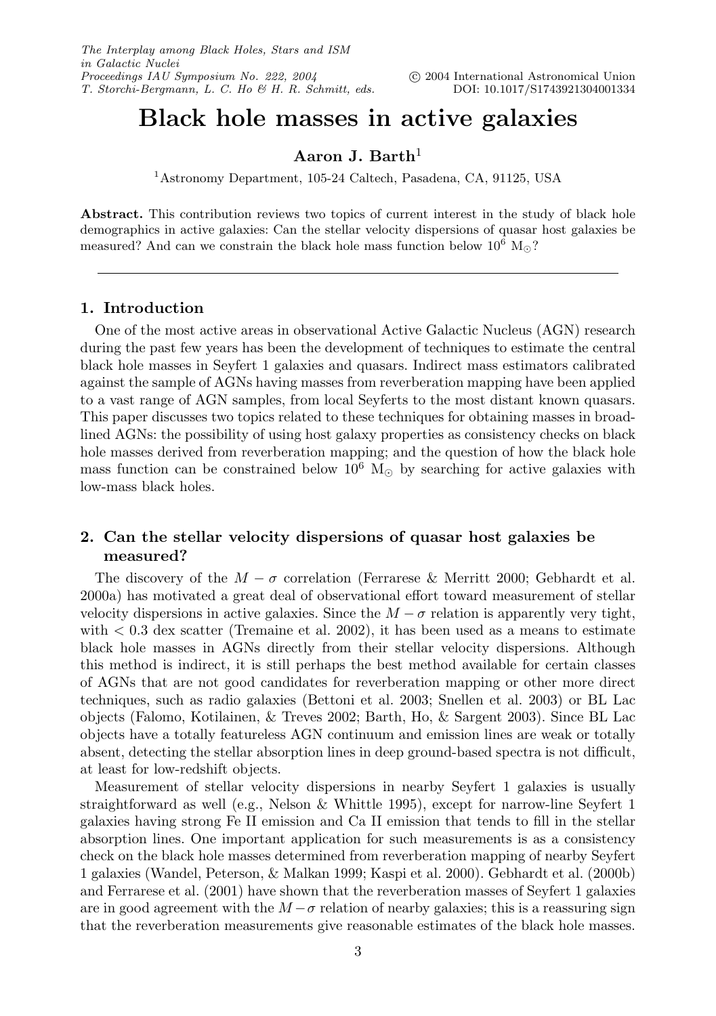## **Black hole masses in active galaxies**

**Aaron J. Barth**<sup>1</sup>

<sup>1</sup>Astronomy Department, 105-24 Caltech, Pasadena, CA, 91125, USA

**Abstract.** This contribution reviews two topics of current interest in the study of black hole demographics in active galaxies: Can the stellar velocity dispersions of quasar host galaxies be measured? And can we constrain the black hole mass function below  $10^6$  M.

#### **1. Introduction**

One of the most active areas in observational Active Galactic Nucleus (AGN) research during the past few years has been the development of techniques to estimate the central black hole masses in Seyfert 1 galaxies and quasars. Indirect mass estimators calibrated against the sample of AGNs having masses from reverberation mapping have been applied to a vast range of AGN samples, from local Seyferts to the most distant known quasars. This paper discusses two topics related to these techniques for obtaining masses in broadlined AGNs: the possibility of using host galaxy properties as consistency checks on black hole masses derived from reverberation mapping; and the question of how the black hole mass function can be constrained below  $10^6$  M<sub>\oppo</sub> by searching for active galaxies with low-mass black holes.

### **2. Can the stellar velocity dispersions of quasar host galaxies be measured?**

The discovery of the  $M - \sigma$  correlation (Ferrarese & Merritt 2000; Gebhardt et al. 2000a) has motivated a great deal of observational effort toward measurement of stellar velocity dispersions in active galaxies. Since the  $M - \sigma$  relation is apparently very tight, with  $\langle 0.3 \rangle$  dex scatter (Tremaine et al. 2002), it has been used as a means to estimate black hole masses in AGNs directly from their stellar velocity dispersions. Although this method is indirect, it is still perhaps the best method available for certain classes of AGNs that are not good candidates for reverberation mapping or other more direct techniques, such as radio galaxies (Bettoni et al. 2003; Snellen et al. 2003) or BL Lac objects (Falomo, Kotilainen, & Treves 2002; Barth, Ho, & Sargent 2003). Since BL Lac objects have a totally featureless AGN continuum and emission lines are weak or totally absent, detecting the stellar absorption lines in deep ground-based spectra is not difficult, at least for low-redshift objects.

Measurement of stellar velocity dispersions in nearby Seyfert 1 galaxies is usually straightforward as well (e.g., Nelson & Whittle 1995), except for narrow-line Seyfert 1 galaxies having strong Fe II emission and Ca II emission that tends to fill in the stellar absorption lines. One important application for such measurements is as a consistency check on the black hole masses determined from reverberation mapping of nearby Seyfert 1 galaxies (Wandel, Peterson, & Malkan 1999; Kaspi et al. 2000). Gebhardt et al. (2000b) and Ferrarese et al. (2001) have shown that the reverberation masses of Seyfert 1 galaxies are in good agreement with the  $M - \sigma$  relation of nearby galaxies; this is a reassuring sign that the reverberation measurements give reasonable estimates of the black hole masses.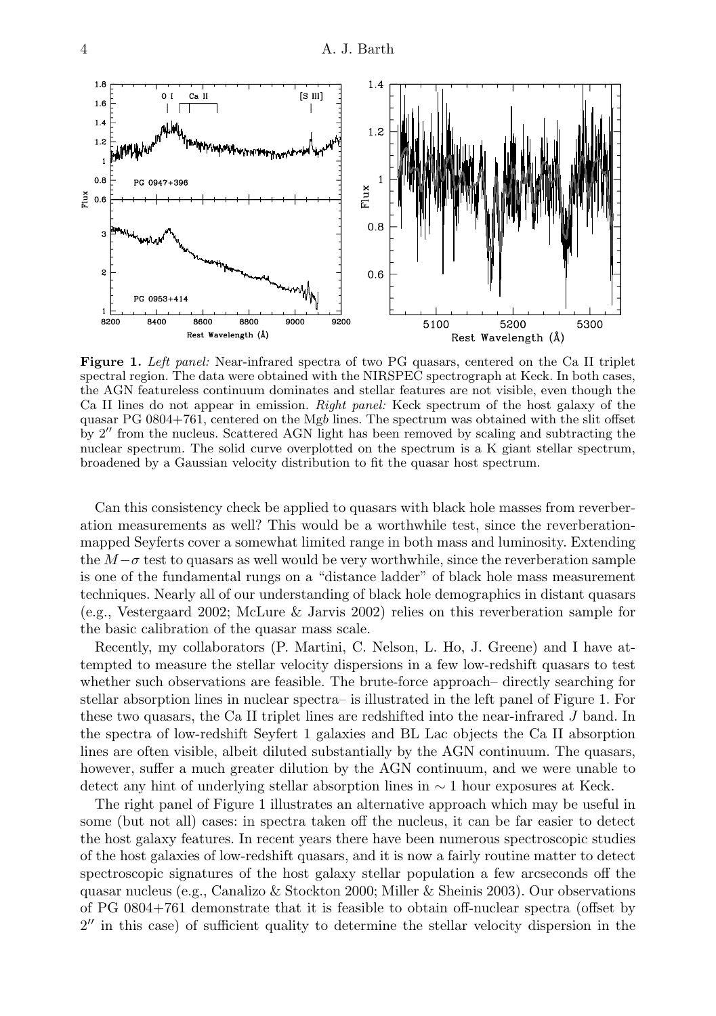

Figure 1. Left panel: Near-infrared spectra of two PG quasars, centered on the Ca II triplet spectral region. The data were obtained with the NIRSPEC spectrograph at Keck. In both cases, the AGN featureless continuum dominates and stellar features are not visible, even though the Ca II lines do not appear in emission. Right panel: Keck spectrum of the host galaxy of the quasar PG 0804+761, centered on the Mgb lines. The spectrum was obtained with the slit offset by 2" from the nucleus. Scattered AGN light has been removed by scaling and subtracting the nuclear spectrum. The solid curve overplotted on the spectrum is a K giant stellar spectrum, broadened by a Gaussian velocity distribution to fit the quasar host spectrum.

Can this consistency check be applied to quasars with black hole masses from reverberation measurements as well? This would be a worthwhile test, since the reverberationmapped Seyferts cover a somewhat limited range in both mass and luminosity. Extending the  $M-\sigma$  test to quasars as well would be very worthwhile, since the reverberation sample is one of the fundamental rungs on a "distance ladder" of black hole mass measurement techniques. Nearly all of our understanding of black hole demographics in distant quasars (e.g., Vestergaard 2002; McLure & Jarvis 2002) relies on this reverberation sample for the basic calibration of the quasar mass scale.

Recently, my collaborators (P. Martini, C. Nelson, L. Ho, J. Greene) and I have attempted to measure the stellar velocity dispersions in a few low-redshift quasars to test whether such observations are feasible. The brute-force approach– directly searching for stellar absorption lines in nuclear spectra– is illustrated in the left panel of Figure 1. For these two quasars, the Ca II triplet lines are redshifted into the near-infrared J band. In the spectra of low-redshift Seyfert 1 galaxies and BL Lac objects the Ca II absorption lines are often visible, albeit diluted substantially by the AGN continuum. The quasars, however, suffer a much greater dilution by the AGN continuum, and we were unable to detect any hint of underlying stellar absorption lines in ∼ 1 hour exposures at Keck.

The right panel of Figure 1 illustrates an alternative approach which may be useful in some (but not all) cases: in spectra taken off the nucleus, it can be far easier to detect the host galaxy features. In recent years there have been numerous spectroscopic studies of the host galaxies of low-redshift quasars, and it is now a fairly routine matter to detect spectroscopic signatures of the host galaxy stellar population a few arcseconds off the quasar nucleus (e.g., Canalizo & Stockton 2000; Miller & Sheinis 2003). Our observations of PG 0804+761 demonstrate that it is feasible to obtain off-nuclear spectra (offset by 2" in this case) of sufficient quality to determine the stellar velocity dispersion in the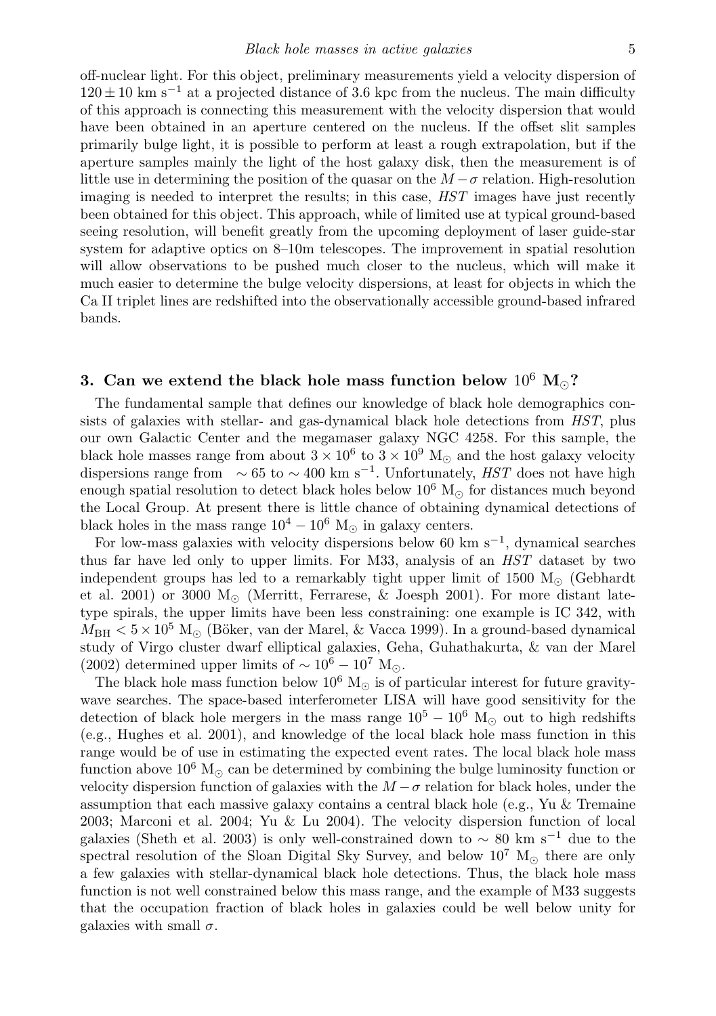off-nuclear light. For this object, preliminary measurements yield a velocity dispersion of  $120 \pm 10$  km s<sup>-1</sup> at a projected distance of 3.6 kpc from the nucleus. The main difficulty of this approach is connecting this measurement with the velocity dispersion that would have been obtained in an aperture centered on the nucleus. If the offset slit samples primarily bulge light, it is possible to perform at least a rough extrapolation, but if the aperture samples mainly the light of the host galaxy disk, then the measurement is of little use in determining the position of the quasar on the  $M - \sigma$  relation. High-resolution imaging is needed to interpret the results; in this case, HST images have just recently been obtained for this object. This approach, while of limited use at typical ground-based seeing resolution, will benefit greatly from the upcoming deployment of laser guide-star system for adaptive optics on 8–10m telescopes. The improvement in spatial resolution will allow observations to be pushed much closer to the nucleus, which will make it much easier to determine the bulge velocity dispersions, at least for objects in which the Ca II triplet lines are redshifted into the observationally accessible ground-based infrared bands.

# **3.** Can we extend the black hole mass function below  $10^6$   $\text{M}_\odot$ ?

The fundamental sample that defines our knowledge of black hole demographics consists of galaxies with stellar- and gas-dynamical black hole detections from HST, plus our own Galactic Center and the megamaser galaxy NGC 4258. For this sample, the black hole masses range from about  $3 \times 10^6$  to  $3 \times 10^9$  M<sub>o</sub> and the host galaxy velocity dispersions range from  $\sim 65$  to  $\sim 400$  km s<sup>-1</sup>. Unfortunately, HST does not have high enough spatial resolution to detect black holes below  $10^6$  M<sub> $\odot$ </sub> for distances much beyond the Local Group. At present there is little chance of obtaining dynamical detections of black holes in the mass range  $10^4 - 10^6$  M<sub>o</sub> in galaxy centers.

For low-mass galaxies with velocity dispersions below 60 km s<sup>-1</sup>, dynamical searches thus far have led only to upper limits. For M33, analysis of an HST dataset by two independent groups has led to a remarkably tight upper limit of 1500  $M_{\odot}$  (Gebhardt et al. 2001) or 3000  $M_{\odot}$  (Merritt, Ferrarese, & Joesph 2001). For more distant latetype spirals, the upper limits have been less constraining: one example is IC 342, with  $M_{\rm BH} < 5 \times 10^5$  M<sub>o</sub> (Böker, van der Marel, & Vacca 1999). In a ground-based dynamical study of Virgo cluster dwarf elliptical galaxies, Geha, Guhathakurta, & van der Marel (2002) determined upper limits of  $\sim 10^6 - 10^7$  M...

The black hole mass function below  $10^6$  M<sub> $\odot$ </sub> is of particular interest for future gravitywave searches. The space-based interferometer LISA will have good sensitivity for the detection of black hole mergers in the mass range  $10^5 - 10^6$  M<sub>o</sub> out to high redshifts (e.g., Hughes et al. 2001), and knowledge of the local black hole mass function in this range would be of use in estimating the expected event rates. The local black hole mass function above  $10^6$  M<sub>\cope</sub> can be determined by combining the bulge luminosity function or velocity dispersion function of galaxies with the  $M - \sigma$  relation for black holes, under the assumption that each massive galaxy contains a central black hole (e.g., Yu  $\&$  Tremaine 2003; Marconi et al. 2004; Yu & Lu 2004). The velocity dispersion function of local galaxies (Sheth et al. 2003) is only well-constrained down to  $\sim 80$  km s<sup>-1</sup> due to the spectral resolution of the Sloan Digital Sky Survey, and below  $10^7$  M<sub> $\odot$ </sub> there are only a few galaxies with stellar-dynamical black hole detections. Thus, the black hole mass function is not well constrained below this mass range, and the example of M33 suggests that the occupation fraction of black holes in galaxies could be well below unity for galaxies with small  $\sigma$ .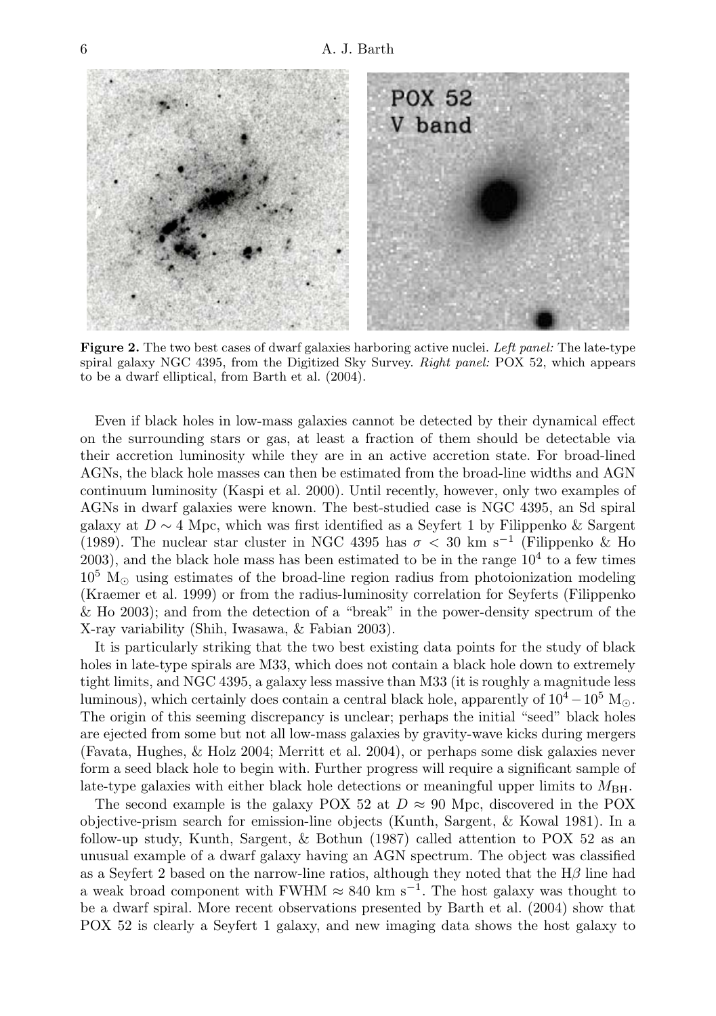

**Figure 2.** The two best cases of dwarf galaxies harboring active nuclei. Left panel: The late-type spiral galaxy NGC 4395, from the Digitized Sky Survey. Right panel: POX 52, which appears to be a dwarf elliptical, from Barth et al. (2004).

Even if black holes in low-mass galaxies cannot be detected by their dynamical effect on the surrounding stars or gas, at least a fraction of them should be detectable via their accretion luminosity while they are in an active accretion state. For broad-lined AGNs, the black hole masses can then be estimated from the broad-line widths and AGN continuum luminosity (Kaspi et al. 2000). Until recently, however, only two examples of AGNs in dwarf galaxies were known. The best-studied case is NGC 4395, an Sd spiral galaxy at  $D \sim 4$  Mpc, which was first identified as a Seyfert 1 by Filippenko & Sargent (1989). The nuclear star cluster in NGC 4395 has  $\sigma < 30 \text{ km s}^{-1}$  (Filippenko & Ho  $2003$ ), and the black hole mass has been estimated to be in the range  $10<sup>4</sup>$  to a few times  $10^5$  M<sub> $\odot$ </sub> using estimates of the broad-line region radius from photoionization modeling (Kraemer et al. 1999) or from the radius-luminosity correlation for Seyferts (Filippenko & Ho 2003); and from the detection of a "break" in the power-density spectrum of the X-ray variability (Shih, Iwasawa, & Fabian 2003).

It is particularly striking that the two best existing data points for the study of black holes in late-type spirals are M33, which does not contain a black hole down to extremely tight limits, and NGC 4395, a galaxy less massive than M33 (it is roughly a magnitude less luminous), which certainly does contain a central black hole, apparently of  $10^4 - 10^5$  M. The origin of this seeming discrepancy is unclear; perhaps the initial "seed" black holes are ejected from some but not all low-mass galaxies by gravity-wave kicks during mergers (Favata, Hughes, & Holz 2004; Merritt et al. 2004), or perhaps some disk galaxies never form a seed black hole to begin with. Further progress will require a significant sample of late-type galaxies with either black hole detections or meaningful upper limits to  $M_{\rm BH}$ .

The second example is the galaxy POX 52 at  $D \approx 90$  Mpc, discovered in the POX objective-prism search for emission-line objects (Kunth, Sargent, & Kowal 1981). In a follow-up study, Kunth, Sargent, & Bothun (1987) called attention to POX 52 as an unusual example of a dwarf galaxy having an AGN spectrum. The object was classified as a Seyfert 2 based on the narrow-line ratios, although they noted that the  $H\beta$  line had a weak broad component with FWHM  $\approx 840 \text{ km s}^{-1}$ . The host galaxy was thought to be a dwarf spiral. More recent observations presented by Barth et al. (2004) show that POX 52 is clearly a Seyfert 1 galaxy, and new imaging data shows the host galaxy to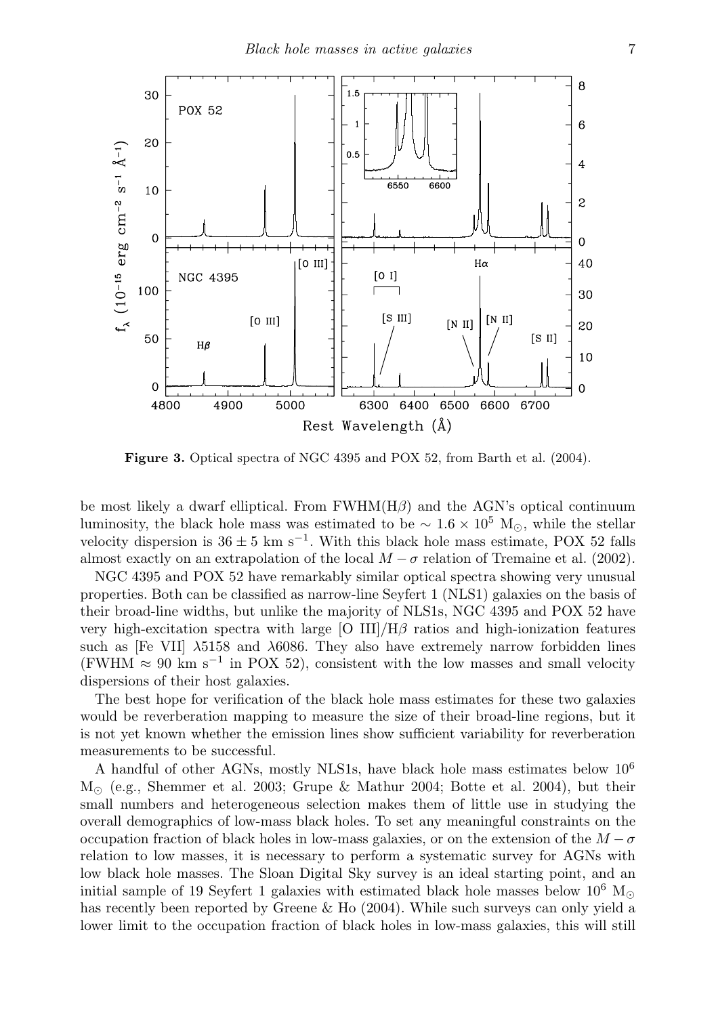

**Figure 3.** Optical spectra of NGC 4395 and POX 52, from Barth et al. (2004).

be most likely a dwarf elliptical. From  $FWHM(H\beta)$  and the AGN's optical continuum luminosity, the black hole mass was estimated to be  $\sim 1.6 \times 10^5$  M<sub>⊙</sub>, while the stellar velocity dispersion is  $36 \pm 5$  km s<sup>-1</sup>. With this black hole mass estimate, POX 52 falls almost exactly on an extrapolation of the local  $M - \sigma$  relation of Tremaine et al. (2002).

NGC 4395 and POX 52 have remarkably similar optical spectra showing very unusual properties. Both can be classified as narrow-line Seyfert 1 (NLS1) galaxies on the basis of their broad-line widths, but unlike the majority of NLS1s, NGC 4395 and POX 52 have very high-excitation spectra with large  $[O III]/H\beta$  ratios and high-ionization features such as [Fe VII]  $\lambda$ 5158 and  $\lambda$ 6086. They also have extremely narrow forbidden lines (FWHM  $\approx 90 \text{ km s}^{-1}$  in POX 52), consistent with the low masses and small velocity dispersions of their host galaxies.

The best hope for verification of the black hole mass estimates for these two galaxies would be reverberation mapping to measure the size of their broad-line regions, but it is not yet known whether the emission lines show sufficient variability for reverberation measurements to be successful.

A handful of other AGNs, mostly NLS1s, have black hole mass estimates below 10<sup>6</sup>  $M_{\odot}$  (e.g., Shemmer et al. 2003; Grupe & Mathur 2004; Botte et al. 2004), but their small numbers and heterogeneous selection makes them of little use in studying the overall demographics of low-mass black holes. To set any meaningful constraints on the occupation fraction of black holes in low-mass galaxies, or on the extension of the  $M - \sigma$ relation to low masses, it is necessary to perform a systematic survey for AGNs with low black hole masses. The Sloan Digital Sky survey is an ideal starting point, and an initial sample of 19 Seyfert 1 galaxies with estimated black hole masses below  $10^6$  M<sub> $\odot$ </sub> has recently been reported by Greene & Ho (2004). While such surveys can only yield a lower limit to the occupation fraction of black holes in low-mass galaxies, this will still